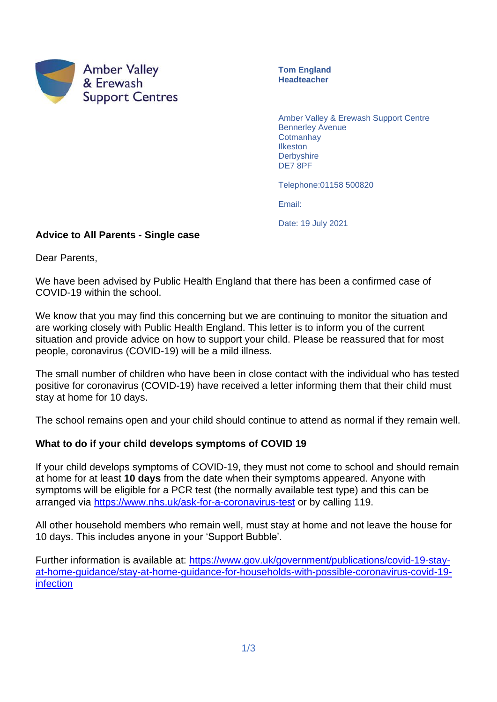

**Tom England Headteacher**

Amber Valley & Erewash Support Centre Bennerley Avenue **Cotmanhay** Ilkeston **Derbyshire** DE7 8PF

Telephone:01158 500820

Email:

Date: 19 July 2021

#### **Advice to All Parents - Single case**

Dear Parents,

We have been advised by Public Health England that there has been a confirmed case of COVID-19 within the school.

We know that you may find this concerning but we are continuing to monitor the situation and are working closely with Public Health England. This letter is to inform you of the current situation and provide advice on how to support your child. Please be reassured that for most people, coronavirus (COVID-19) will be a mild illness.

The small number of children who have been in close contact with the individual who has tested positive for coronavirus (COVID-19) have received a letter informing them that their child must stay at home for 10 days.

The school remains open and your child should continue to attend as normal if they remain well.

## **What to do if your child develops symptoms of COVID 19**

If your child develops symptoms of COVID-19, they must not come to school and should remain at home for at least **10 days** from the date when their symptoms appeared. Anyone with symptoms will be eligible for a PCR test (the normally available test type) and this can be arranged via<https://www.nhs.uk/ask-for-a-coronavirus-test> or by calling 119.

All other household members who remain well, must stay at home and not leave the house for 10 days. This includes anyone in your 'Support Bubble'.

Further information is available at: [https://www.gov.uk/government/publications/covid-19-stay](https://www.gov.uk/government/publications/covid-19-stay-at-home-guidance/stay-at-home-guidance-for-households-with-possible-coronavirus-covid-19-infection)[at-home-guidance/stay-at-home-guidance-for-households-with-possible-coronavirus-covid-19](https://www.gov.uk/government/publications/covid-19-stay-at-home-guidance/stay-at-home-guidance-for-households-with-possible-coronavirus-covid-19-infection) [infection](https://www.gov.uk/government/publications/covid-19-stay-at-home-guidance/stay-at-home-guidance-for-households-with-possible-coronavirus-covid-19-infection)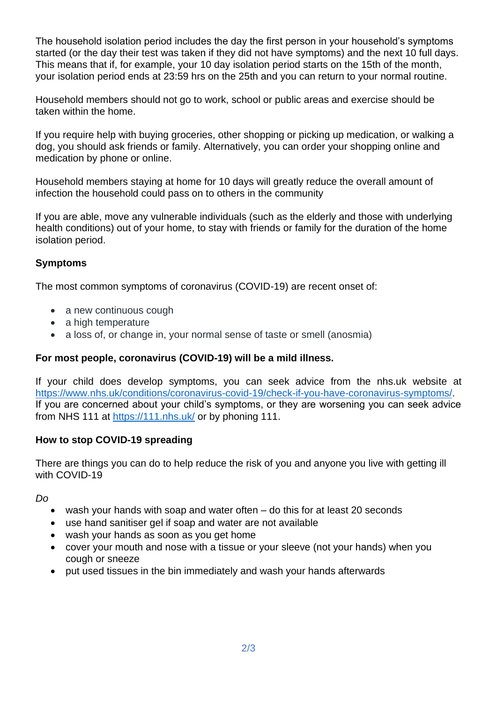The household isolation period includes the day the first person in your household's symptoms started (or the day their test was taken if they did not have symptoms) and the next 10 full days. This means that if, for example, your 10 day isolation period starts on the 15th of the month, your isolation period ends at 23:59 hrs on the 25th and you can return to your normal routine.

Household members should not go to work, school or public areas and exercise should be taken within the home.

If you require help with buying groceries, other shopping or picking up medication, or walking a dog, you should ask friends or family. Alternatively, you can order your shopping online and medication by phone or online.

Household members staying at home for 10 days will greatly reduce the overall amount of infection the household could pass on to others in the community

If you are able, move any vulnerable individuals (such as the elderly and those with underlying health conditions) out of your home, to stay with friends or family for the duration of the home isolation period.

# **Symptoms**

The most common symptoms of coronavirus (COVID-19) are recent onset of:

- a new continuous cough
- a high temperature
- a loss of, or change in, your normal sense of taste or smell (anosmia)

## **For most people, coronavirus (COVID-19) will be a mild illness.**

If your child does develop symptoms, you can seek advice from the nhs.uk website at [https://www.nhs.uk/conditions/coronavirus-covid-19/check-if-you-have-coronavirus-symptoms/.](https://www.nhs.uk/conditions/coronavirus-covid-19/check-if-you-have-coronavirus-symptoms/) If you are concerned about your child's symptoms, or they are worsening you can seek advice from NHS 111 at<https://111.nhs.uk/> or by phoning 111.

## **How to stop COVID-19 spreading**

There are things you can do to help reduce the risk of you and anyone you live with getting ill with COVID-19

*Do*

- wash your hands with soap and water often do this for at least 20 seconds
- use hand sanitiser gel if soap and water are not available
- wash your hands as soon as you get home
- cover your mouth and nose with a tissue or your sleeve (not your hands) when you cough or sneeze
- put used tissues in the bin immediately and wash your hands afterwards